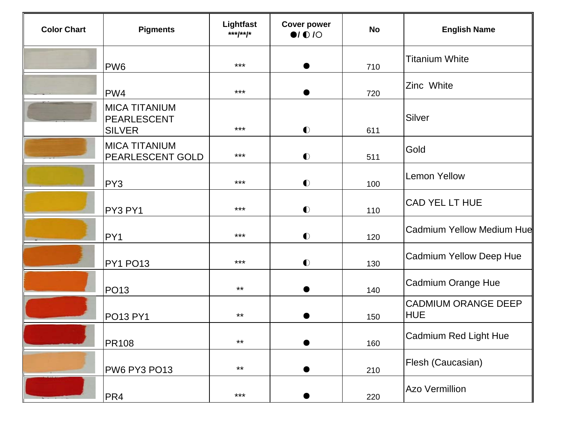| <b>Color Chart</b> | <b>Pigments</b>                                      | Lightfast<br>***/**/* | <b>Cover power</b><br>$\bullet$ / $\bullet$ / $\circ$ | <b>No</b> | <b>English Name</b>                      |
|--------------------|------------------------------------------------------|-----------------------|-------------------------------------------------------|-----------|------------------------------------------|
|                    | PW <sub>6</sub>                                      | $***$                 |                                                       | 710       | <b>Titanium White</b>                    |
|                    | PW4                                                  | $***$                 |                                                       | 720       | Zinc White                               |
|                    | <b>MICA TITANIUM</b><br>PEARLESCENT<br><b>SILVER</b> | $***$                 | $\bullet$                                             | 611       | Silver                                   |
|                    | <b>MICA TITANIUM</b><br>PEARLESCENT GOLD             | $***$                 | $\bullet$                                             | 511       | Gold                                     |
|                    | PY3                                                  | $***$                 | $\bullet$                                             | 100       | <b>Lemon Yellow</b>                      |
|                    | PY3 PY1                                              | $***$                 | $\bullet$                                             | 110       | CAD YEL LT HUE                           |
|                    | PY1                                                  | $***$                 | $\bullet$                                             | 120       | <b>Cadmium Yellow Medium Hue</b>         |
|                    | PY1 PO13                                             | $***$                 | $\bullet$                                             | 130       | <b>Cadmium Yellow Deep Hue</b>           |
|                    | <b>PO13</b>                                          | $***$                 | $\bullet$                                             | 140       | <b>Cadmium Orange Hue</b>                |
|                    | <b>PO13 PY1</b>                                      | $***$                 |                                                       | 150       | <b>CADMIUM ORANGE DEEP</b><br><b>HUE</b> |
|                    | <b>PR108</b>                                         | $***$                 |                                                       | 160       | Cadmium Red Light Hue                    |
|                    | PW6 PY3 PO13                                         | $***$                 |                                                       | 210       | Flesh (Caucasian)                        |
|                    | PR4                                                  | $***$                 |                                                       | 220       | <b>Azo Vermillion</b>                    |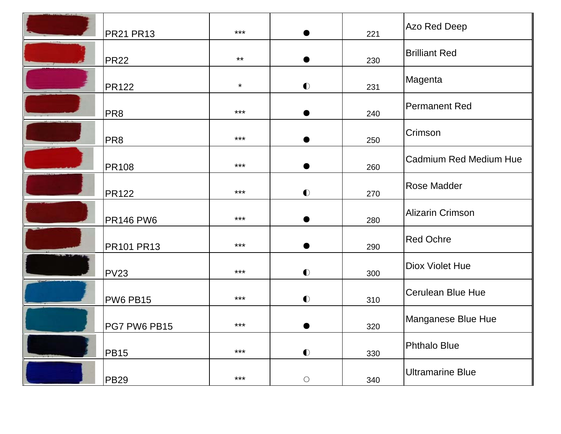| <b>PR21 PR13</b>  | $***$   |            | 221 | Azo Red Deep                  |
|-------------------|---------|------------|-----|-------------------------------|
| <b>PR22</b>       | $***$   |            | 230 | <b>Brilliant Red</b>          |
| <b>PR122</b>      | $\star$ | $\bullet$  | 231 | Magenta                       |
| PR <sub>8</sub>   | $***$   |            | 240 | Permanent Red                 |
| PR <sub>8</sub>   | ***     |            | 250 | Crimson                       |
| <b>PR108</b>      | $***$   |            | 260 | <b>Cadmium Red Medium Hue</b> |
| <b>PR122</b>      | $***$   | $\bullet$  | 270 | <b>Rose Madder</b>            |
| <b>PR146 PW6</b>  | ***     |            | 280 | <b>Alizarin Crimson</b>       |
| <b>PR101 PR13</b> | $***$   |            | 290 | <b>Red Ochre</b>              |
| <b>PV23</b>       | $***$   | $\bullet$  | 300 | <b>Diox Violet Hue</b>        |
| <b>PW6 PB15</b>   | $***$   | $\bullet$  | 310 | <b>Cerulean Blue Hue</b>      |
| PG7 PW6 PB15      | $***$   | $\bullet$  | 320 | Manganese Blue Hue            |
| <b>PB15</b>       | ***     | $\bullet$  | 330 | Phthalo Blue                  |
| <b>PB29</b>       | $***$   | $\bigcirc$ | 340 | <b>Ultramarine Blue</b>       |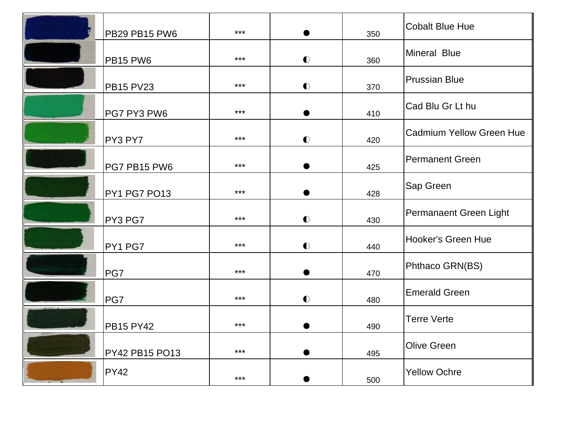|             | PB29 PB15 PW6    | *** |           | 350 | <b>Cobalt Blue Hue</b>          |
|-------------|------------------|-----|-----------|-----|---------------------------------|
|             | <b>PB15 PW6</b>  | *** | $\bullet$ | 360 | Mineral Blue                    |
|             | <b>PB15 PV23</b> | *** | $\bullet$ | 370 | <b>Prussian Blue</b>            |
|             | PG7 PY3 PW6      | *** |           | 410 | Cad Blu Gr Lt hu                |
|             | PY3 PY7          | *** | $\bullet$ | 420 | <b>Cadmium Yellow Green Hue</b> |
|             | PG7 PB15 PW6     | *** |           | 425 | <b>Permanent Green</b>          |
|             | PY1 PG7 PO13     | *** |           | 428 | <b>Sap Green</b>                |
|             | PY3 PG7          | *** | $\bullet$ | 430 | Permanaent Green Light          |
|             | PY1 PG7          | *** | $\bullet$ | 440 | Hooker's Green Hue              |
|             | PG7              | *** | ●         | 470 | Phthaco GRN(BS)                 |
|             | PG7              | *** | $\bullet$ | 480 | <b>Emerald Green</b>            |
|             | <b>PB15 PY42</b> | *** | ●         | 490 | <b>Terre Verte</b>              |
| <b>TAMA</b> | PY42 PB15 PO13   | *** |           | 495 | <b>Olive Green</b>              |
|             | <b>PY42</b>      | *** |           | 500 | <b>Yellow Ochre</b>             |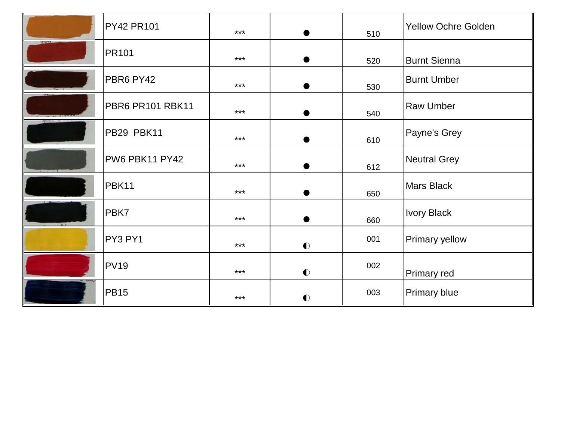|               | <b>PY42 PR101</b> | $***$ | ●         | 510 | Yellow Ochre Golden   |
|---------------|-------------------|-------|-----------|-----|-----------------------|
| <b>STEAMS</b> | <b>PR101</b>      | $***$ |           | 520 | <b>Burnt Sienna</b>   |
|               | PBR6 PY42         | ***   |           | 530 | <b>Burnt Umber</b>    |
|               | PBR6 PR101 RBK11  | ***   |           | 540 | <b>Raw Umber</b>      |
| $\Delta$      | PB29 PBK11        | ***   | ●         | 610 | Payne's Grey          |
|               | PW6 PBK11 PY42    | ***   |           | 612 | Neutral Grey          |
|               | PBK11             | ***   |           | 650 | <b>Mars Black</b>     |
|               | PBK7              | ***   |           | 660 | <b>Ivory Black</b>    |
|               | PY3 PY1           | ***   | $\bullet$ | 001 | <b>Primary yellow</b> |
|               | <b>PV19</b>       | ***   | $\bullet$ | 002 | <b>Primary red</b>    |
|               | <b>PB15</b>       | ***   | $\bullet$ | 003 | <b>Primary blue</b>   |